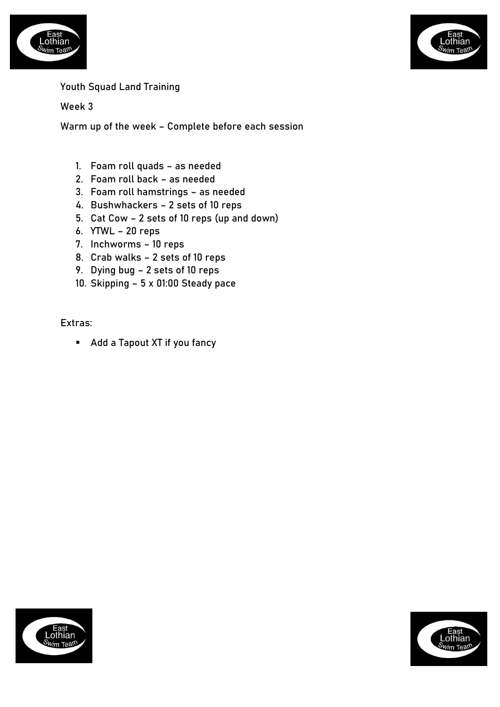



## Youth Squad Land Training

Week 3

Warm up of the week – Complete before each session

- 1. Foam roll quads as needed
- 2. Foam roll back as needed
- 3. Foam roll hamstrings as needed
- 4. Bushwhackers 2 sets of 10 reps
- 5. Cat Cow 2 sets of 10 reps (up and down)
- 6. YTWL 20 reps
- 7. Inchworms 10 reps
- 8. Crab walks 2 sets of 10 reps
- 9. Dying bug 2 sets of 10 reps
- 10. Skipping 5 x 01:00 Steady pace

Extras:

■ Add a Tapout XT if you fancy



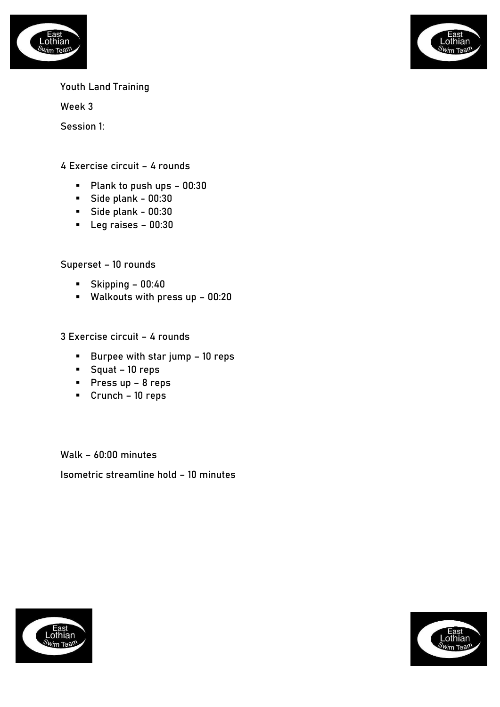

Week 3

othian

Session 1:

4 Exercise circuit – 4 rounds

- Plank to push ups 00:30
- Side plank 00:30
- Side plank 00:30
- Leg raises 00:30

Superset – 10 rounds

- Skipping 00:40
- Walkouts with press up 00:20

3 Exercise circuit – 4 rounds

- Burpee with star jump 10 reps
- Squat 10 reps
- Press up 8 reps
- Crunch 10 reps

Walk – 60:00 minutes Isometric streamline hold – 10 minutes



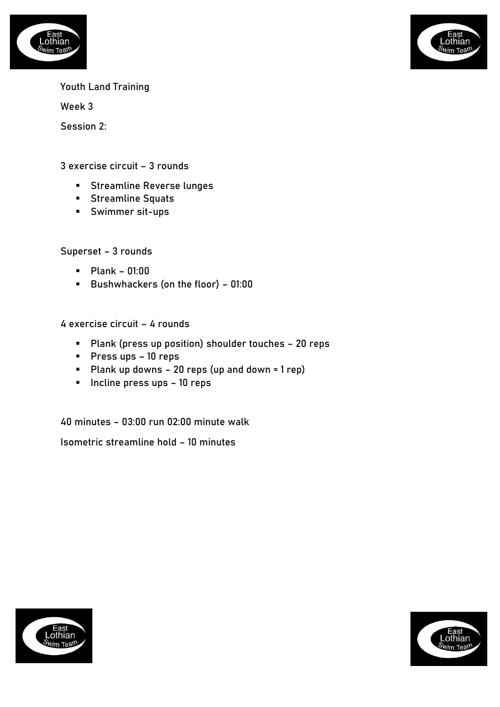



Week 3

Session 2:

3 exercise circuit – 3 rounds

- Streamline Reverse lunges
- Streamline Squats
- Swimmer sit-ups

Superset – 3 rounds

- Plank 01:00
- Bushwhackers (on the floor) 01:00

4 exercise circuit – 4 rounds

- Plank (press up position) shoulder touches 20 reps
- Press ups 10 reps
- Plank up downs 20 reps (up and down = 1 rep)
- Incline press ups 10 reps

40 minutes – 03:00 run 02:00 minute walk

Isometric streamline hold – 10 minutes



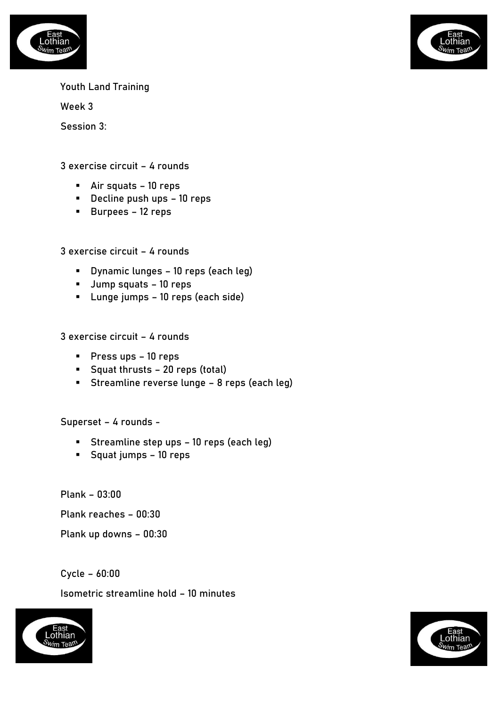



Week 3

Session 3:

3 exercise circuit – 4 rounds

- Air squats 10 reps
- Decline push ups 10 reps
- Burpees 12 reps

3 exercise circuit – 4 rounds

- Dynamic lunges 10 reps (each leg)
- Jump squats 10 reps
- Lunge jumps 10 reps (each side)

3 exercise circuit – 4 rounds

- Press ups 10 reps
- Squat thrusts 20 reps (total)
- Streamline reverse lunge 8 reps (each leg)

Superset – 4 rounds -

- Streamline step ups 10 reps (each leg)
- Squat jumps 10 reps

Plank – 03:00

Plank reaches – 00:30

Plank up downs – 00:30

Cycle – 60:00

Isometric streamline hold – 10 minutes



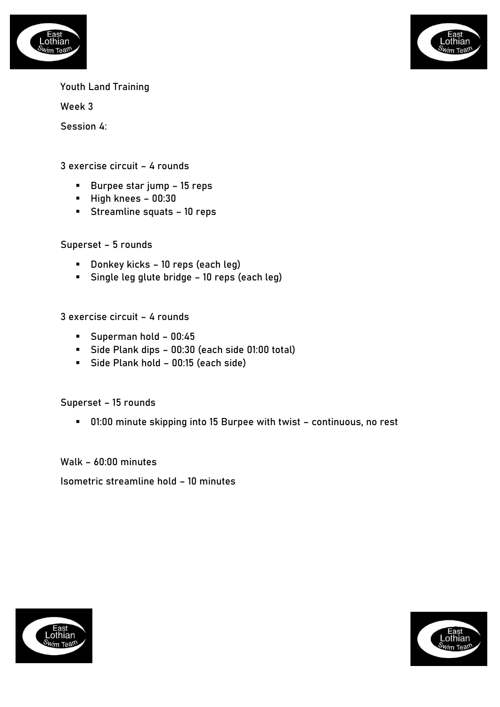



Week 3

Session 4:

3 exercise circuit – 4 rounds

- Burpee star jump 15 reps
- High knees 00:30
- Streamline squats 10 reps

Superset – 5 rounds

- Donkey kicks 10 reps (each leg)
- Single leg glute bridge 10 reps (each leg)

3 exercise circuit – 4 rounds

- Superman hold 00:45
- Side Plank dips 00:30 (each side 01:00 total)
- Side Plank hold 00:15 (each side)

Superset – 15 rounds

▪ 01:00 minute skipping into 15 Burpee with twist – continuous, no rest

Walk – 60:00 minutes

Isometric streamline hold – 10 minutes